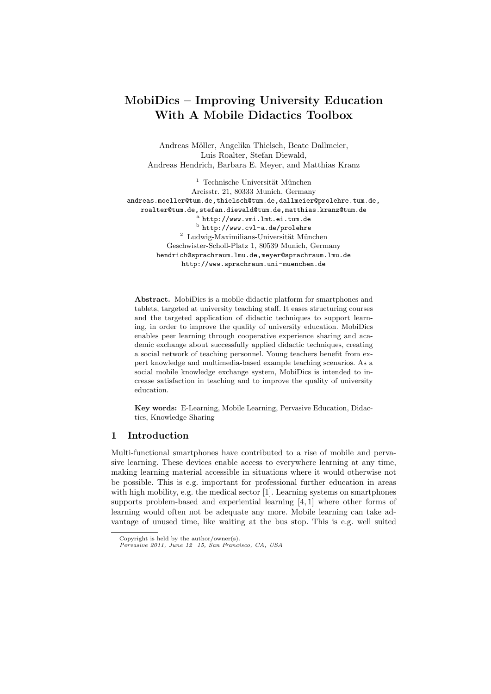# MobiDics – Improving University Education With A Mobile Didactics Toolbox

Andreas Möller, Angelika Thielsch, Beate Dallmeier, Luis Roalter, Stefan Diewald, Andreas Hendrich, Barbara E. Meyer, and Matthias Kranz

 $^{\rm 1}$  Technische Universität München Arcisstr. 21, 80333 Munich, Germany andreas.moeller@tum.de,thielsch@tum.de,dallmeier@prolehre.tum.de, roalter@tum.de,stefan.diewald@tum.de,matthias.kranz@tum.de a http://www.vmi.lmt.ei.tum.de  $^{\rm b}$  http://www.cvl-a.de/prolehre  $2$  Ludwig-Maximilians-Universität München Geschwister-Scholl-Platz 1, 80539 Munich, Germany hendrich@sprachraum.lmu.de,meyer@sprachraum.lmu.de http://www.sprachraum.uni-muenchen.de

Abstract. MobiDics is a mobile didactic platform for smartphones and tablets, targeted at university teaching staff. It eases structuring courses and the targeted application of didactic techniques to support learning, in order to improve the quality of university education. MobiDics enables peer learning through cooperative experience sharing and academic exchange about successfully applied didactic techniques, creating a social network of teaching personnel. Young teachers benefit from expert knowledge and multimedia-based example teaching scenarios. As a social mobile knowledge exchange system, MobiDics is intended to increase satisfaction in teaching and to improve the quality of university education.

Key words: E-Learning, Mobile Learning, Pervasive Education, Didactics, Knowledge Sharing

## 1 Introduction

Multi-functional smartphones have contributed to a rise of mobile and pervasive learning. These devices enable access to everywhere learning at any time, making learning material accessible in situations where it would otherwise not be possible. This is e.g. important for professional further education in areas with high mobility, e.g. the medical sector [1]. Learning systems on smartphones supports problem-based and experiential learning [4, 1] where other forms of learning would often not be adequate any more. Mobile learning can take advantage of unused time, like waiting at the bus stop. This is e.g. well suited

Copyright is held by the author/owner(s).

Pervasive 2011, June 12 15, San Francisco, CA, USA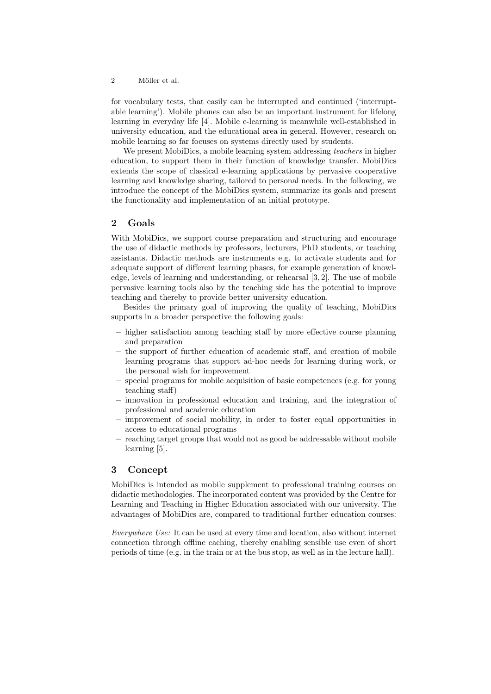2 Möller et al.

for vocabulary tests, that easily can be interrupted and continued ('interruptable learning'). Mobile phones can also be an important instrument for lifelong learning in everyday life [4]. Mobile e-learning is meanwhile well-established in university education, and the educational area in general. However, research on mobile learning so far focuses on systems directly used by students.

We present MobiDics, a mobile learning system addressing *teachers* in higher education, to support them in their function of knowledge transfer. MobiDics extends the scope of classical e-learning applications by pervasive cooperative learning and knowledge sharing, tailored to personal needs. In the following, we introduce the concept of the MobiDics system, summarize its goals and present the functionality and implementation of an initial prototype.

# 2 Goals

With MobiDics, we support course preparation and structuring and encourage the use of didactic methods by professors, lecturers, PhD students, or teaching assistants. Didactic methods are instruments e.g. to activate students and for adequate support of different learning phases, for example generation of knowledge, levels of learning and understanding, or rehearsal [3, 2]. The use of mobile pervasive learning tools also by the teaching side has the potential to improve teaching and thereby to provide better university education.

Besides the primary goal of improving the quality of teaching, MobiDics supports in a broader perspective the following goals:

- higher satisfaction among teaching staff by more effective course planning and preparation
- the support of further education of academic staff, and creation of mobile learning programs that support ad-hoc needs for learning during work, or the personal wish for improvement
- special programs for mobile acquisition of basic competences (e.g. for young teaching staff)
- innovation in professional education and training, and the integration of professional and academic education
- improvement of social mobility, in order to foster equal opportunities in access to educational programs
- reaching target groups that would not as good be addressable without mobile learning [5].

# 3 Concept

MobiDics is intended as mobile supplement to professional training courses on didactic methodologies. The incorporated content was provided by the Centre for Learning and Teaching in Higher Education associated with our university. The advantages of MobiDics are, compared to traditional further education courses:

Everywhere Use: It can be used at every time and location, also without internet connection through offline caching, thereby enabling sensible use even of short periods of time (e.g. in the train or at the bus stop, as well as in the lecture hall).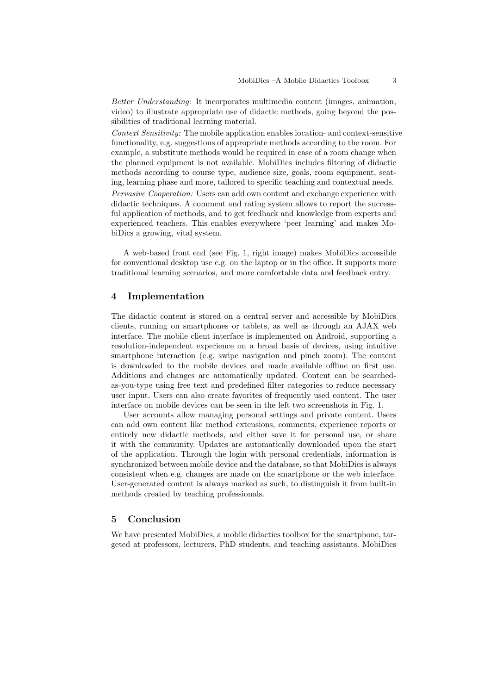Better Understanding: It incorporates multimedia content (images, animation, video) to illustrate appropriate use of didactic methods, going beyond the possibilities of traditional learning material.

Context Sensitivity: The mobile application enables location- and context-sensitive functionality, e.g. suggestions of appropriate methods according to the room. For example, a substitute methods would be required in case of a room change when the planned equipment is not available. MobiDics includes filtering of didactic methods according to course type, audience size, goals, room equipment, seating, learning phase and more, tailored to specific teaching and contextual needs. Pervasive Cooperation: Users can add own content and exchange experience with

didactic techniques. A comment and rating system allows to report the successful application of methods, and to get feedback and knowledge from experts and experienced teachers. This enables everywhere 'peer learning' and makes MobiDics a growing, vital system.

A web-based front end (see Fig. 1, right image) makes MobiDics accessible for conventional desktop use e.g. on the laptop or in the office. It supports more traditional learning scenarios, and more comfortable data and feedback entry.

## 4 Implementation

The didactic content is stored on a central server and accessible by MobiDics clients, running on smartphones or tablets, as well as through an AJAX web interface. The mobile client interface is implemented on Android, supporting a resolution-independent experience on a broad basis of devices, using intuitive smartphone interaction (e.g. swipe navigation and pinch zoom). The content is downloaded to the mobile devices and made available offline on first use. Additions and changes are automatically updated. Content can be searchedas-you-type using free text and predefined filter categories to reduce necessary user input. Users can also create favorites of frequently used content. The user interface on mobile devices can be seen in the left two screenshots in Fig. 1.

User accounts allow managing personal settings and private content. Users can add own content like method extensions, comments, experience reports or entirely new didactic methods, and either save it for personal use, or share it with the community. Updates are automatically downloaded upon the start of the application. Through the login with personal credentials, information is synchronized between mobile device and the database, so that MobiDics is always consistent when e.g. changes are made on the smartphone or the web interface. User-generated content is always marked as such, to distinguish it from built-in methods created by teaching professionals.

# 5 Conclusion

We have presented MobiDics, a mobile didactics toolbox for the smartphone, targeted at professors, lecturers, PhD students, and teaching assistants. MobiDics